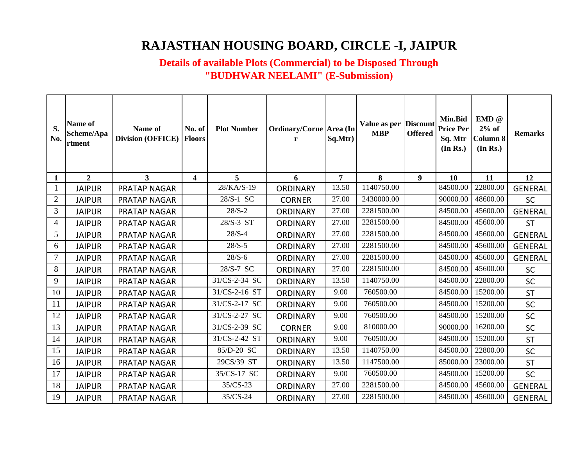## **RAJASTHAN HOUSING BOARD, CIRCLE -I, JAIPUR**

## **Details of available Plots (Commercial) to be Disposed Through "BUDHWAR NEELAMI" (E-Submission)**

| S.<br>No.      | Name of<br>Scheme/Apa<br>rtment | Name of<br><b>Division (OFFICE)</b> | No. of<br><b>Floors</b> | <b>Plot Number</b> | Ordinary/Corne Area (In<br>r | Sq.Mtr) | Value as per Discount<br><b>MBP</b> | <b>Offered</b> | Min.Bid<br><b>Price Per</b><br>Sq. Mtr<br>(In Rs.) | EMD @<br>$2%$ of<br><b>Column 8</b><br>(In Rs.) | <b>Remarks</b> |
|----------------|---------------------------------|-------------------------------------|-------------------------|--------------------|------------------------------|---------|-------------------------------------|----------------|----------------------------------------------------|-------------------------------------------------|----------------|
| $\mathbf{1}$   | $\overline{2}$                  | $\mathbf{3}$                        | $\overline{\mathbf{4}}$ | 5                  | 6                            | 7       | 8                                   | 9              | 10                                                 | 11                                              | 12             |
|                | <b>JAIPUR</b>                   | PRATAP NAGAR                        |                         | 28/KA/S-19         | <b>ORDINARY</b>              | 13.50   | 1140750.00                          |                | 84500.00                                           | 22800.00                                        | <b>GENERAL</b> |
| $\overline{2}$ | <b>JAIPUR</b>                   | PRATAP NAGAR                        |                         | 28/S-1 SC          | <b>CORNER</b>                | 27.00   | 2430000.00                          |                | 90000.00                                           | 48600.00                                        | <b>SC</b>      |
| 3              | <b>JAIPUR</b>                   | PRATAP NAGAR                        |                         | $28/S - 2$         | <b>ORDINARY</b>              | 27.00   | 2281500.00                          |                | 84500.00                                           | 45600.00                                        | <b>GENERAL</b> |
| $\overline{4}$ | <b>JAIPUR</b>                   | PRATAP NAGAR                        |                         | 28/S-3 ST          | <b>ORDINARY</b>              | 27.00   | 2281500.00                          |                | 84500.00                                           | 45600.00                                        | <b>ST</b>      |
| 5              | <b>JAIPUR</b>                   | PRATAP NAGAR                        |                         | $28/S - 4$         | <b>ORDINARY</b>              | 27.00   | 2281500.00                          |                | 84500.00                                           | 45600.00                                        | <b>GENERAL</b> |
| 6              | <b>JAIPUR</b>                   | PRATAP NAGAR                        |                         | $28/S - 5$         | <b>ORDINARY</b>              | 27.00   | 2281500.00                          |                | 84500.00                                           | 45600.00                                        | <b>GENERAL</b> |
| 7              | <b>JAIPUR</b>                   | PRATAP NAGAR                        |                         | $28/S - 6$         | <b>ORDINARY</b>              | 27.00   | 2281500.00                          |                | 84500.00                                           | 45600.00                                        | <b>GENERAL</b> |
| 8              | <b>JAIPUR</b>                   | PRATAP NAGAR                        |                         | 28/S-7 SC          | <b>ORDINARY</b>              | 27.00   | 2281500.00                          |                | 84500.00                                           | 45600.00                                        | <b>SC</b>      |
| 9              | <b>JAIPUR</b>                   | PRATAP NAGAR                        |                         | 31/CS-2-34 SC      | <b>ORDINARY</b>              | 13.50   | 1140750.00                          |                | 84500.00                                           | 22800.00                                        | <b>SC</b>      |
| 10             | <b>JAIPUR</b>                   | PRATAP NAGAR                        |                         | 31/CS-2-16 ST      | <b>ORDINARY</b>              | 9.00    | 760500.00                           |                | 84500.00                                           | 15200.00                                        | <b>ST</b>      |
| 11             | <b>JAIPUR</b>                   | PRATAP NAGAR                        |                         | 31/CS-2-17 SC      | <b>ORDINARY</b>              | 9.00    | 760500.00                           |                | 84500.00                                           | 15200.00                                        | SC             |
| 12             | <b>JAIPUR</b>                   | PRATAP NAGAR                        |                         | 31/CS-2-27 SC      | <b>ORDINARY</b>              | 9.00    | 760500.00                           |                | 84500.00                                           | 15200.00                                        | <b>SC</b>      |
| 13             | <b>JAIPUR</b>                   | PRATAP NAGAR                        |                         | 31/CS-2-39 SC      | <b>CORNER</b>                | 9.00    | 810000.00                           |                | 90000.00                                           | 16200.00                                        | <b>SC</b>      |
| 14             | <b>JAIPUR</b>                   | PRATAP NAGAR                        |                         | 31/CS-2-42 ST      | <b>ORDINARY</b>              | 9.00    | 760500.00                           |                | 84500.00                                           | 15200.00                                        | <b>ST</b>      |
| 15             | <b>JAIPUR</b>                   | PRATAP NAGAR                        |                         | 85/D-20 SC         | <b>ORDINARY</b>              | 13.50   | 1140750.00                          |                | 84500.00                                           | 22800.00                                        | SC             |
| 16             | <b>JAIPUR</b>                   | PRATAP NAGAR                        |                         | 29CS/39 ST         | <b>ORDINARY</b>              | 13.50   | 1147500.00                          |                | 85000.00                                           | 23000.00                                        | <b>ST</b>      |
| 17             | <b>JAIPUR</b>                   | PRATAP NAGAR                        |                         | 35/CS-17 SC        | <b>ORDINARY</b>              | 9.00    | 760500.00                           |                | 84500.00                                           | 15200.00                                        | SC             |
| 18             | <b>JAIPUR</b>                   | PRATAP NAGAR                        |                         | 35/CS-23           | <b>ORDINARY</b>              | 27.00   | 2281500.00                          |                | 84500.00                                           | 45600.00                                        | <b>GENERAL</b> |
| 19             | <b>JAIPUR</b>                   | PRATAP NAGAR                        |                         | 35/CS-24           | <b>ORDINARY</b>              | 27.00   | 2281500.00                          |                | 84500.00                                           | 45600.00                                        | <b>GENERAL</b> |